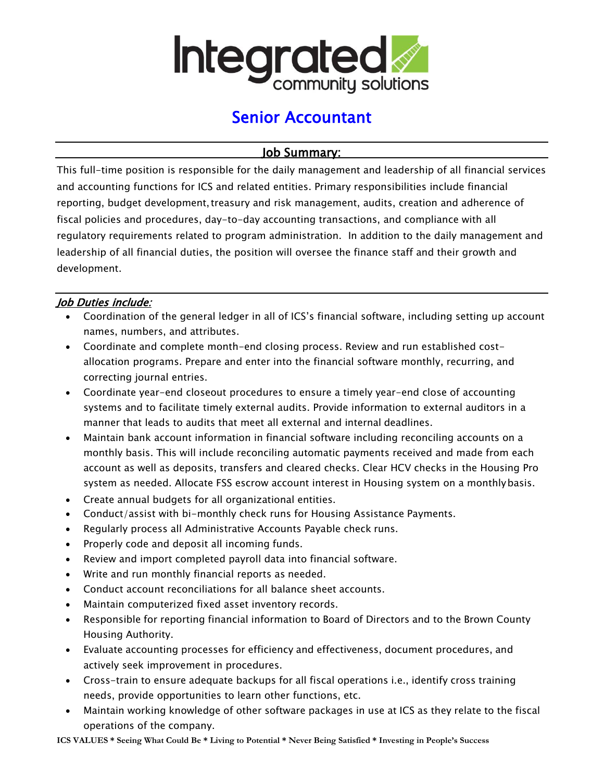

## Senior Accountant

## Job Summary:

This full-time position is responsible for the daily management and leadership of all financial services and accounting functions for ICS and related entities. Primary responsibilities include financial reporting, budget development, treasury and risk management, audits, creation and adherence of fiscal policies and procedures, day-to-day accounting transactions, and compliance with all regulatory requirements related to program administration. In addition to the daily management and leadership of all financial duties, the position will oversee the finance staff and their growth and development.

## Job Duties include:

- Coordination of the general ledger in all of ICS's financial software, including setting up account names, numbers, and attributes.
- Coordinate and complete month-end closing process. Review and run established costallocation programs. Prepare and enter into the financial software monthly, recurring, and correcting journal entries.
- Coordinate year-end closeout procedures to ensure a timely year-end close of accounting systems and to facilitate timely external audits. Provide information to external auditors in a manner that leads to audits that meet all external and internal deadlines.
- Maintain bank account information in financial software including reconciling accounts on a monthly basis. This will include reconciling automatic payments received and made from each account as well as deposits, transfers and cleared checks. Clear HCV checks in the Housing Pro system as needed. Allocate FSS escrow account interest in Housing system on a monthlybasis.
- Create annual budgets for all organizational entities.
- Conduct/assist with bi-monthly check runs for Housing Assistance Payments.
- Regularly process all Administrative Accounts Payable check runs.
- Properly code and deposit all incoming funds.
- Review and import completed payroll data into financial software.
- Write and run monthly financial reports as needed.
- Conduct account reconciliations for all balance sheet accounts.
- Maintain computerized fixed asset inventory records.
- Responsible for reporting financial information to Board of Directors and to the Brown County Housing Authority.
- Evaluate accounting processes for efficiency and effectiveness, document procedures, and actively seek improvement in procedures.
- Cross-train to ensure adequate backups for all fiscal operations i.e., identify cross training needs, provide opportunities to learn other functions, etc.
- Maintain working knowledge of other software packages in use at ICS as they relate to the fiscal operations of the company.

**ICS VALUES \* Seeing What Could Be \* Living to Potential \* Never Being Satisfied \* Investing in People's Success**